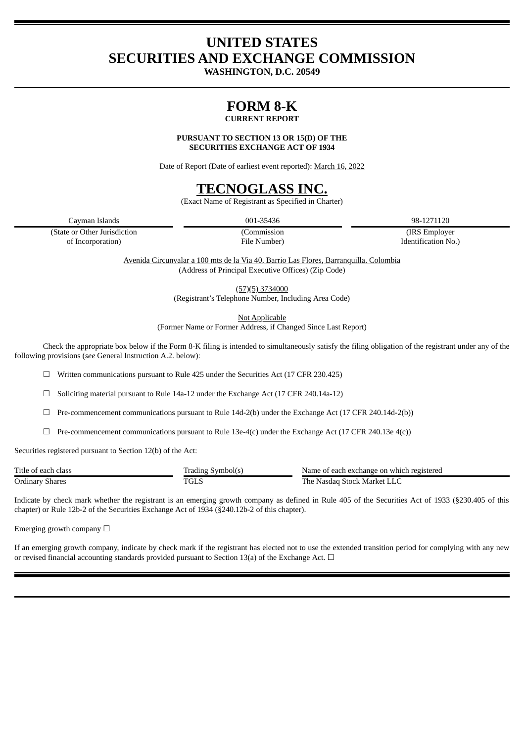## **UNITED STATES SECURITIES AND EXCHANGE COMMISSION**

**WASHINGTON, D.C. 20549**

# **FORM 8-K**

## **CURRENT REPORT**

**PURSUANT TO SECTION 13 OR 15(D) OF THE SECURITIES EXCHANGE ACT OF 1934**

Date of Report (Date of earliest event reported): March 16, 2022

## **TECNOGLASS INC.**

(Exact Name of Registrant as Specified in Charter)

Cayman Islands 001-35436 98-1271120

(State or Other Jurisdiction (Commission (IRS Employer of Incorporation) File Number) Identification No.)

Avenida Circunvalar a 100 mts de la Via 40, Barrio Las Flores, Barranquilla, Colombia (Address of Principal Executive Offices) (Zip Code)

> (57)(5) 3734000 (Registrant's Telephone Number, Including Area Code)

> > Not Applicable

(Former Name or Former Address, if Changed Since Last Report)

Check the appropriate box below if the Form 8-K filing is intended to simultaneously satisfy the filing obligation of the registrant under any of the following provisions (*see* General Instruction A.2. below):

☐ Written communications pursuant to Rule 425 under the Securities Act (17 CFR 230.425)

☐ Soliciting material pursuant to Rule 14a-12 under the Exchange Act (17 CFR 240.14a-12)

 $\Box$  Pre-commencement communications pursuant to Rule 14d-2(b) under the Exchange Act (17 CFR 240.14d-2(b))

 $\Box$  Pre-commencement communications pursuant to Rule 13e-4(c) under the Exchange Act (17 CFR 240.13e 4(c))

Securities registered pursuant to Section 12(b) of the Act:

| Title of<br>ch class<br>, each | Symbol(s)<br>. rading . | ı which registered<br>: each exchange on<br>Name |
|--------------------------------|-------------------------|--------------------------------------------------|
| Ordinary<br><b>Shares</b>      | DO 1<br>نىلە            | . he<br>Market<br>Nasdad<br>Stock                |

Indicate by check mark whether the registrant is an emerging growth company as defined in Rule 405 of the Securities Act of 1933 (§230.405 of this chapter) or Rule 12b-2 of the Securities Exchange Act of 1934 (§240.12b-2 of this chapter).

Emerging growth company  $\Box$ 

If an emerging growth company, indicate by check mark if the registrant has elected not to use the extended transition period for complying with any new or revised financial accounting standards provided pursuant to Section 13(a) of the Exchange Act.  $\Box$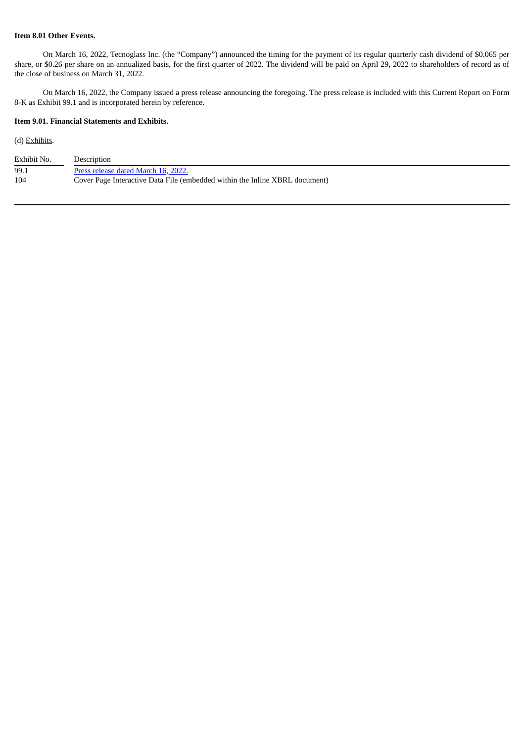## **Item 8.01 Other Events.**

On March 16, 2022, Tecnoglass Inc. (the "Company") announced the timing for the payment of its regular quarterly cash dividend of \$0.065 per share, or \$0.26 per share on an annualized basis, for the first quarter of 2022. The dividend will be paid on April 29, 2022 to shareholders of record as of the close of business on March 31, 2022.

On March 16, 2022, the Company issued a press release announcing the foregoing. The press release is included with this Current Report on Form 8-K as Exhibit 99.1 and is incorporated herein by reference.

### **Item 9.01. Financial Statements and Exhibits.**

### (d) Exhibits.

| Exhibit No. | Description                                                                 |
|-------------|-----------------------------------------------------------------------------|
| 99.1        | Press release dated March 16, 2022.                                         |
| 104         | Cover Page Interactive Data File (embedded within the Inline XBRL document) |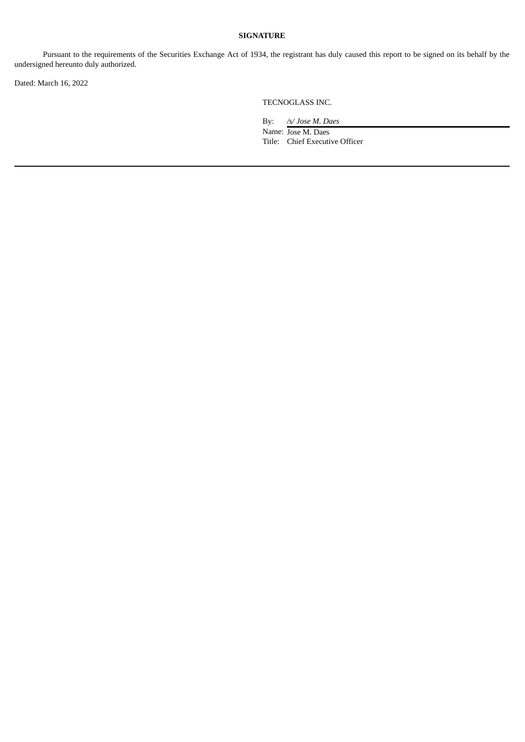### **SIGNATURE**

Pursuant to the requirements of the Securities Exchange Act of 1934, the registrant has duly caused this report to be signed on its behalf by the undersigned hereunto duly authorized.

Dated: March 16, 2022

TECNOGLASS INC.

By: */s/ Jose M. Daes* Name: Jose M. Daes Title: Chief Executive Officer